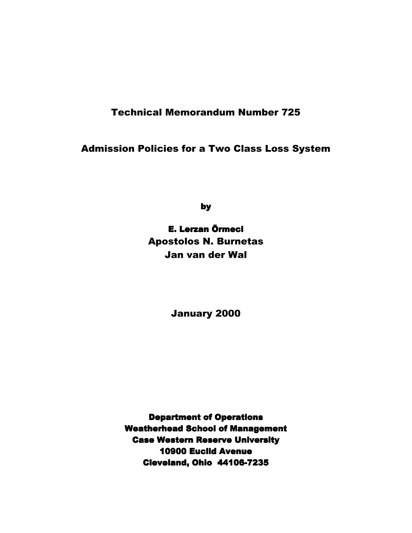# Technical Memorandum Number 725

# Admission Policies for a Two Class Loss System

by

# E. Lerzan Örmeci Apostolos N. Burnetas Jan van der Wal

January 2000

**Department of Operations Weatherhead School of Management Case Western Reserve University** 10900 Euclid Avenue Cleveland, Ohio 44106-7235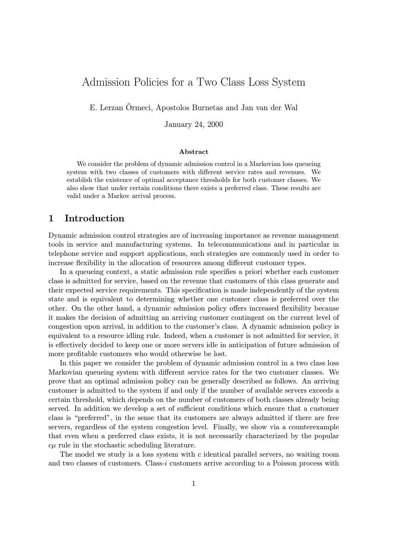# Admission Policies for a Two Class Loss System

E. Lerzan Örmeci, Apostolos Burnetas and Jan van der Wal

January 24, 2000

#### Abstract

We consider the problem of dynamic admission control in a Markovian loss queueing system with two classes of customers with different service rates and revenues. We establish the existence of optimal acceptance thresholds for both customer classes. We also show that under certain conditions there exists a preferred class. These results are valid under a Markov arrival process.

### 1 Introduction

Dynamic admission control strategies are of increasing importance as revenue management tools in service and manufacturing systems. In telecommunications and in particular in telephone service and support applications, such strategies are commonly used in order to increase flexibility in the allocation of resources among different customer types.

In a queueing context, a static admission rule specifies a priori whether each customer class is admitted for service, based on the revenue that customers of this class generate and their expected service requirements. This specification is made independently of the system state and is equivalent to determining whether one customer class is preferred over the other. On the other hand, a dynamic admission policy offers increased flexibility because it makes the decision of admitting an arriving customer contingent on the current level of congestion upon arrival, in addition to the customer's class. A dynamic admission policy is equivalent to a resource idling rule. Indeed, when a customer is not admitted for service, it is effectively decided to keep one or more servers idle in anticipation of future admission of more profitable customers who would otherwise be lost.

In this paper we consider the problem of dynamic admission control in a two class loss Markovian queueing system with different service rates for the two customer classes. We prove that an optimal admission policy can be generally described as follows. An arriving customer is admitted to the system if and only if the number of available servers exceeds a certain threshold, which depends on the number of customers of both classes already being served. In addition we develop a set of sufficient conditions which ensure that a customer class is "preferred", in the sense that its customers are always admitted if there are free servers, regardless of the system congestion level. Finally, we show via a counterexample that even when a preferred class exists, it is not necessarily characterized by the popular  $c\mu$  rule in the stochastic scheduling literature.

The model we study is a loss system with c identical parallel servers, no waiting room and two classes of customers. Class-i customers arrive according to a Poisson process with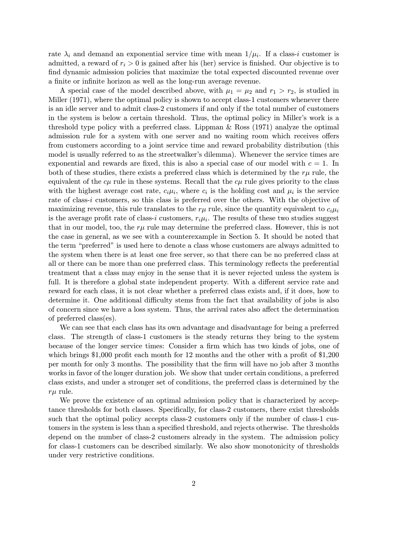rate  $\lambda_i$  and demand an exponential service time with mean  $1/\mu_i$ . If a class-i customer is admitted, a reward of  $r_i > 0$  is gained after his (her) service is finished. Our objective is to find dynamic admission policies that maximize the total expected discounted revenue over a finite or infinite horizon as well as the long-run average revenue.

A special case of the model described above, with  $\mu_1 = \mu_2$  and  $r_1 > r_2$ , is studied in Miller (1971), where the optimal policy is shown to accept class-1 customers whenever there is an idle server and to admit class-2 customers if and only if the total number of customers in the system is below a certain threshold. Thus, the optimal policy in Miller's work is a threshold type policy with a preferred class. Lippman & Ross (1971) analyze the optimal admission rule for a system with one server and no waiting room which receives offers from customers according to a joint service time and reward probability distribution (this model is usually referred to as the streetwalker's dilemma). Whenever the service times are exponential and rewards are fixed, this is also a special case of our model with  $c = 1$ . In both of these studies, there exists a preferred class which is determined by the  $r\mu$  rule, the equivalent of the  $c\mu$  rule in these systems. Recall that the  $c\mu$  rule gives priority to the class with the highest average cost rate,  $c_i\mu_i$ , where  $c_i$  is the holding cost and  $\mu_i$  is the service rate of class-i customers, so this class is preferred over the others. With the objective of maximizing revenue, this rule translates to the  $r\mu$  rule, since the quantity equivalent to  $c_i\mu_i$ is the average profit rate of class-i customers,  $r_i\mu_i$ . The results of these two studies suggest that in our model, too, the  $r\mu$  rule may determine the preferred class. However, this is not the case in general, as we see with a counterexample in Section 5. It should be noted that the term "preferred" is used here to denote a class whose customers are always admitted to the system when there is at least one free server, so that there can be no preferred class at all or there can be more than one preferred class. This terminology reflects the preferential treatment that a class may enjoy in the sense that it is never rejected unless the system is full. It is therefore a global state independent property. With a different service rate and reward for each class, it is not clear whether a preferred class exists and, if it does, how to determine it. One additional difficulty stems from the fact that availability of jobs is also of concern since we have a loss system. Thus, the arrival rates also affect the determination of preferred class(es).

We can see that each class has its own advantage and disadvantage for being a preferred class. The strength of class-1 customers is the steady returns they bring to the system because of the longer service times: Consider a firm which has two kinds of jobs, one of which brings \$1,000 profit each month for 12 months and the other with a profit of \$1,200 per month for only 3 months. The possibility that the firm will have no job after 3 months works in favor of the longer duration job. We show that under certain conditions, a preferred class exists, and under a stronger set of conditions, the preferred class is determined by the  $r\mu$  rule.

We prove the existence of an optimal admission policy that is characterized by acceptance thresholds for both classes. Specifically, for class-2 customers, there exist thresholds such that the optimal policy accepts class-2 customers only if the number of class-1 customers in the system is less than a specified threshold, and rejects otherwise. The thresholds depend on the number of class-2 customers already in the system. The admission policy for class-1 customers can be described similarly. We also show monotonicity of thresholds under very restrictive conditions.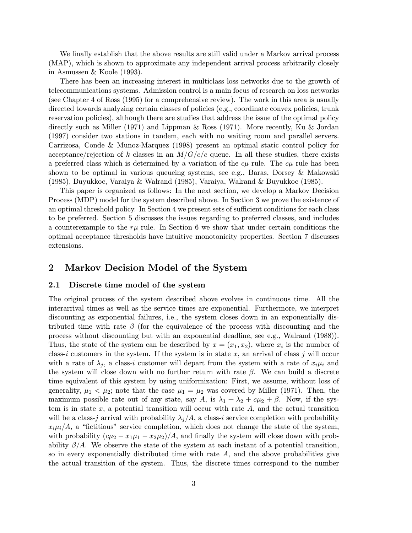We finally establish that the above results are still valid under a Markov arrival process (MAP), which is shown to approximate any independent arrival process arbitrarily closely in Asmussen & Koole (1993).

There has been an increasing interest in multiclass loss networks due to the growth of telecommunications systems. Admission control is a main focus of research on loss networks (see Chapter 4 of Ross (1995) for a comprehensive review). The work in this area is usually directed towards analyzing certain classes of policies (e.g., coordinate convex policies, trunk reservation policies), although there are studies that address the issue of the optimal policy directly such as Miller (1971) and Lippman & Ross (1971). More recently, Ku & Jordan (1997) consider two stations in tandem, each with no waiting room and parallel servers. Carrizosa, Conde & Munoz-Marquez (1998) present an optimal static control policy for acceptance/rejection of k classes in an  $M/G/c/c$  queue. In all these studies, there exists a preferred class which is determined by a variation of the  $c\mu$  rule. The  $c\mu$  rule has been shown to be optimal in various queueing systems, see e.g., Baras, Dorsey & Makowski (1985), Buyukkoc, Varaiya & Walrand (1985), Varaiya, Walrand & Buyukkoc (1985).

This paper is organized as follows: In the next section, we develop a Markov Decision Process (MDP) model for the system described above. In Section 3 we prove the existence of an optimal threshold policy. In Section 4 we present sets of sufficient conditions for each class to be preferred. Section 5 discusses the issues regarding to preferred classes, and includes a counterexample to the  $r\mu$  rule. In Section 6 we show that under certain conditions the optimal acceptance thresholds have intuitive monotonicity properties. Section 7 discusses extensions.

### 2 Markov Decision Model of the System

#### 2.1 Discrete time model of the system

The original process of the system described above evolves in continuous time. All the interarrival times as well as the service times are exponential. Furthermore, we interpret discounting as exponential failures, i.e., the system closes down in an exponentially distributed time with rate  $\beta$  (for the equivalence of the process with discounting and the process without discounting but with an exponential deadline, see e.g., Walrand (1988)). Thus, the state of the system can be described by  $x = (x_1, x_2)$ , where  $x_i$  is the number of class-i customers in the system. If the system is in state x, an arrival of class j will occur with a rate of  $\lambda_i$ , a class-i customer will depart from the system with a rate of  $x_i\mu_i$  and the system will close down with no further return with rate  $\beta$ . We can build a discrete time equivalent of this system by using uniformization: First, we assume, without loss of generality,  $\mu_1 < \mu_2$ ; note that the case  $\mu_1 = \mu_2$  was covered by Miller (1971). Then, the maximum possible rate out of any state, say A, is  $\lambda_1 + \lambda_2 + c\mu_2 + \beta$ . Now, if the system is in state  $x$ , a potential transition will occur with rate  $A$ , and the actual transition will be a class-j arrival with probability  $\lambda_j/A$ , a class-i service completion with probability  $x_i\mu_i/A$ , a "fictitious" service completion, which does not change the state of the system, with probability  $(c\mu_2 - x_1\mu_1 - x_2\mu_2)/A$ , and finally the system will close down with probability  $\beta/A$ . We observe the state of the system at each instant of a potential transition, so in every exponentially distributed time with rate  $A$ , and the above probabilities give the actual transition of the system. Thus, the discrete times correspond to the number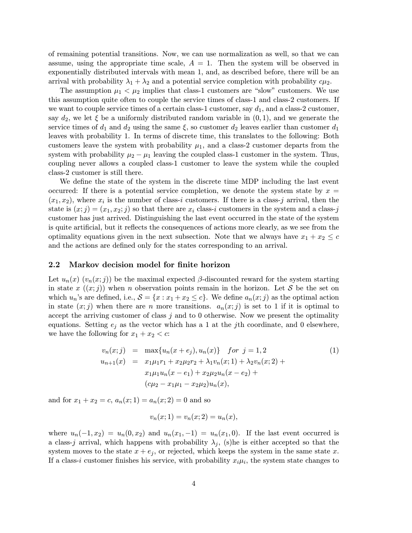of remaining potential transitions. Now, we can use normalization as well, so that we can assume, using the appropriate time scale,  $A = 1$ . Then the system will be observed in exponentially distributed intervals with mean 1, and, as described before, there will be an arrival with probability  $\lambda_1 + \lambda_2$  and a potential service completion with probability  $c\mu_2$ .

The assumption  $\mu_1 < \mu_2$  implies that class-1 customers are "slow" customers. We use this assumption quite often to couple the service times of class-1 and class-2 customers. If we want to couple service times of a certain class-1 customer, say  $d_1$ , and a class-2 customer, say  $d_2$ , we let  $\xi$  be a uniformly distributed random variable in  $(0, 1)$ , and we generate the service times of  $d_1$  and  $d_2$  using the same  $\xi$ , so customer  $d_2$  leaves earlier than customer  $d_1$ leaves with probability 1. In terms of discrete time, this translates to the following: Both customers leave the system with probability  $\mu_1$ , and a class-2 customer departs from the system with probability  $\mu_2 - \mu_1$  leaving the coupled class-1 customer in the system. Thus, coupling never allows a coupled class-1 customer to leave the system while the coupled class-2 customer is still there.

We define the state of the system in the discrete time MDP including the last event occurred: If there is a potential service completion, we denote the system state by  $x =$  $(x_1, x_2)$ , where  $x_i$  is the number of class-i customers. If there is a class-j arrival, then the state is  $(x; j)=(x_1, x_2; j)$  so that there are  $x_i$  class-i customers in the system and a class-j customer has just arrived. Distinguishing the last event occurred in the state of the system is quite artificial, but it reflects the consequences of actions more clearly, as we see from the optimality equations given in the next subsection. Note that we always have  $x_1 + x_2 \leq c$ and the actions are defined only for the states corresponding to an arrival.

#### 2.2 Markov decision model for finite horizon

Let  $u_n(x)$   $(v_n(x;j))$  be the maximal expected  $\beta$ -discounted reward for the system starting in state x  $((x, j))$  when n observation points remain in the horizon. Let S be the set on which  $u_n$ 's are defined, i.e.,  $S = \{x : x_1 + x_2 \le c\}$ . We define  $a_n(x; j)$  as the optimal action in state  $(x, j)$  when there are n more transitions.  $a_n(x, j)$  is set to 1 if it is optimal to accept the arriving customer of class  $j$  and to 0 otherwise. Now we present the optimality equations. Setting  $e_j$  as the vector which has a 1 at the *j*th coordinate, and 0 elsewhere, we have the following for  $x_1 + x_2 < c$ :

$$
v_n(x;j) = \max\{u_n(x+e_j), u_n(x)\} \quad \text{for } j = 1, 2
$$
\n
$$
u_{n+1}(x) = x_1\mu_1 r_1 + x_2\mu_2 r_2 + \lambda_1 v_n(x; 1) + \lambda_2 v_n(x; 2) +
$$
\n
$$
x_1\mu_1 u_n(x-e_1) + x_2\mu_2 u_n(x-e_2) +
$$
\n
$$
(c\mu_2 - x_1\mu_1 - x_2\mu_2)u_n(x),
$$
\n(1)

and for  $x_1 + x_2 = c$ ,  $a_n(x; 1) = a_n(x; 2) = 0$  and so

$$
v_n(x; 1) = v_n(x; 2) = u_n(x),
$$

where  $u_n(-1, x_2) = u_n(0, x_2)$  and  $u_n(x_1, -1) = u_n(x_1, 0)$ . If the last event occurred is a class-j arrival, which happens with probability  $\lambda_j$ , (s)he is either accepted so that the system moves to the state  $x + e_j$ , or rejected, which keeps the system in the same state x. If a class-i customer finishes his service, with probability  $x_i\mu_i$ , the system state changes to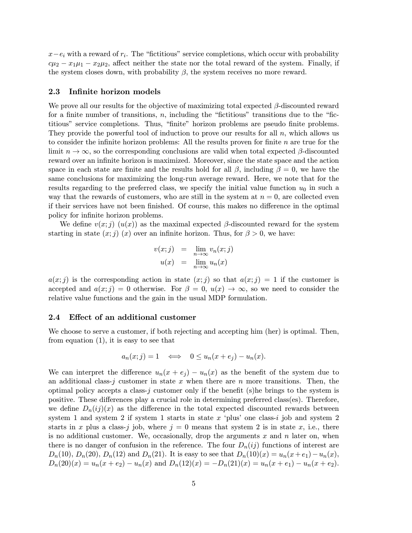$x-e_i$  with a reward of  $r_i$ . The "fictitious" service completions, which occur with probability  $c\mu_2 - x_1\mu_1 - x_2\mu_2$ , affect neither the state nor the total reward of the system. Finally, if the system closes down, with probability  $\beta$ , the system receives no more reward.

### 2.3 Infinite horizon models

We prove all our results for the objective of maximizing total expected  $\beta$ -discounted reward for a finite number of transitions,  $n$ , including the "fictitious" transitions due to the "fictitious" service completions. Thus, "finite" horizon problems are pseudo finite problems. They provide the powerful tool of induction to prove our results for all  $n$ , which allows us to consider the infinite horizon problems: All the results proven for finite  $n$  are true for the limit  $n \to \infty$ , so the corresponding conclusions are valid when total expected  $\beta$ -discounted reward over an infinite horizon is maximized. Moreover, since the state space and the action space in each state are finite and the results hold for all  $\beta$ , including  $\beta = 0$ , we have the same conclusions for maximizing the long-run average reward. Here, we note that for the results regarding to the preferred class, we specify the initial value function  $u_0$  in such a way that the rewards of customers, who are still in the system at  $n = 0$ , are collected even if their services have not been finished. Of course, this makes no difference in the optimal policy for infinite horizon problems.

We define  $v(x; j)$   $(u(x))$  as the maximal expected  $\beta$ -discounted reward for the system starting in state  $(x; j)(x)$  over an infinite horizon. Thus, for  $\beta > 0$ , we have:

$$
v(x;j) = \lim_{n \to \infty} v_n(x;j)
$$
  

$$
u(x) = \lim_{n \to \infty} u_n(x)
$$

 $a(x; j)$  is the corresponding action in state  $(x; j)$  so that  $a(x; j) = 1$  if the customer is accepted and  $a(x; j) = 0$  otherwise. For  $\beta = 0$ ,  $u(x) \rightarrow \infty$ , so we need to consider the relative value functions and the gain in the usual MDP formulation.

#### 2.4 Effect of an additional customer

We choose to serve a customer, if both rejecting and accepting him (her) is optimal. Then, from equation (1), it is easy to see that

$$
a_n(x;j) = 1 \quad \Longleftrightarrow \quad 0 \le u_n(x+e_j) - u_n(x).
$$

We can interpret the difference  $u_n(x + e_j) - u_n(x)$  as the benefit of the system due to an additional class-j customer in state x when there are n more transitions. Then, the optimal policy accepts a class-j customer only if the benefit (s)he brings to the system is positive. These differences play a crucial role in determining preferred class(es). Therefore, we define  $D_n(ij)(x)$  as the difference in the total expected discounted rewards between system 1 and system 2 if system 1 starts in state  $x$  'plus' one class-i job and system 2 starts in x plus a class-j job, where  $j = 0$  means that system 2 is in state x, i.e., there is no additional customer. We, occasionally, drop the arguments  $x$  and  $n$  later on, when there is no danger of confusion in the reference. The four  $D_n(ij)$  functions of interest are  $D_n(10)$ ,  $D_n(20)$ ,  $D_n(12)$  and  $D_n(21)$ . It is easy to see that  $D_n(10)(x) = u_n(x+e_1) - u_n(x)$ ,  $D_n(20)(x) = u_n(x + e_2) - u_n(x)$  and  $D_n(12)(x) = -D_n(21)(x) = u_n(x + e_1) - u_n(x + e_2)$ .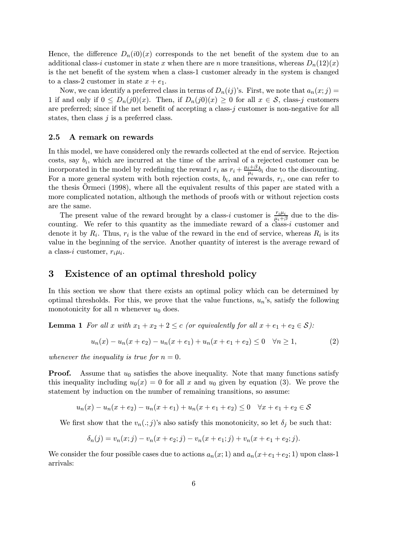Hence, the difference  $D_n(i0)(x)$  corresponds to the net benefit of the system due to an additional class-i customer in state x when there are n more transitions, whereas  $D_n(12)(x)$ is the net benefit of the system when a class-1 customer already in the system is changed to a class-2 customer in state  $x + e_1$ .

Now, we can identify a preferred class in terms of  $D_n(ij)$ 's. First, we note that  $a_n(x;j)$ 1 if and only if  $0 \leq D_n(j0)(x)$ . Then, if  $D_n(j0)(x) \geq 0$  for all  $x \in \mathcal{S}$ , class-j customers are preferred; since if the net benefit of accepting a class-j customer is non-negative for all states, then class  $j$  is a preferred class.

#### 2.5 A remark on rewards

In this model, we have considered only the rewards collected at the end of service. Rejection costs, say  $b_i$ , which are incurred at the time of the arrival of a rejected customer can be incorporated in the model by redefining the reward  $r_i$  as  $r_i + \frac{\mu_i + \beta}{\mu_i} b_i$  due to the discounting. For a more general system with both rejection costs,  $b_i$ , and rewards,  $r_i$ , one can refer to the thesis Ormeci (1998), where all the equivalent results of this paper are stated with a more complicated notation, although the methods of proofs with or without rejection costs are the same.

The present value of the reward brought by a class-i customer is  $\frac{r_i\mu_i}{\mu_i+\beta}$  due to the discounting. We refer to this quantity as the immediate reward of a class-i customer and denote it by  $R_i$ . Thus,  $r_i$  is the value of the reward in the end of service, whereas  $R_i$  is its value in the beginning of the service. Another quantity of interest is the average reward of a class-i customer,  $r_i\mu_i$ .

### 3 Existence of an optimal threshold policy

In this section we show that there exists an optimal policy which can be determined by optimal thresholds. For this, we prove that the value functions,  $u_n$ 's, satisfy the following monotonicity for all  $n$  whenever  $u_0$  does.

**Lemma 1** For all x with  $x_1 + x_2 + 2 \leq c$  (or equivalently for all  $x + e_1 + e_2 \in S$ ):

$$
u_n(x) - u_n(x + e_2) - u_n(x + e_1) + u_n(x + e_1 + e_2) \le 0 \quad \forall n \ge 1,
$$
 (2)

whenever the inequality is true for  $n = 0$ .

**Proof.** Assume that  $u_0$  satisfies the above inequality. Note that many functions satisfy this inequality including  $u_0(x) = 0$  for all x and  $u_0$  given by equation (3). We prove the statement by induction on the number of remaining transitions, so assume:

$$
u_n(x) - u_n(x + e_2) - u_n(x + e_1) + u_n(x + e_1 + e_2) \le 0 \quad \forall x + e_1 + e_2 \in \mathcal{S}
$$

We first show that the  $v_n(.; j)$ 's also satisfy this monotonicity, so let  $\delta_j$  be such that:

$$
\delta_n(j) = v_n(x;j) - v_n(x + e_2;j) - v_n(x + e_1;j) + v_n(x + e_1 + e_2;j).
$$

We consider the four possible cases due to actions  $a_n(x; 1)$  and  $a_n(x+e_1+e_2; 1)$  upon class-1 arrivals: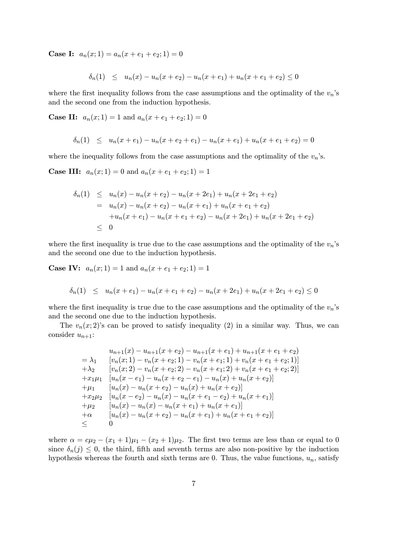**Case I:**  $a_n(x; 1) = a_n(x + e_1 + e_2; 1) = 0$ 

$$
\delta_n(1) \leq u_n(x) - u_n(x + e_2) - u_n(x + e_1) + u_n(x + e_1 + e_2) \leq 0
$$

where the first inequality follows from the case assumptions and the optimality of the  $v_n$ 's and the second one from the induction hypothesis.

**Case II:**  $a_n(x; 1) = 1$  and  $a_n(x + e_1 + e_2; 1) = 0$ 

$$
\delta_n(1) \leq u_n(x+e_1) - u_n(x+e_2+e_1) - u_n(x+e_1) + u_n(x+e_1+e_2) = 0
$$

where the inequality follows from the case assumptions and the optimality of the  $v_n$ 's.

**Case III:**  $a_n(x; 1) = 0$  and  $a_n(x + e_1 + e_2; 1) = 1$ 

$$
\delta_n(1) \leq u_n(x) - u_n(x + e_2) - u_n(x + 2e_1) + u_n(x + 2e_1 + e_2)
$$
  
=  $u_n(x) - u_n(x + e_2) - u_n(x + e_1) + u_n(x + e_1 + e_2)$   
+  $u_n(x + e_1) - u_n(x + e_1 + e_2) - u_n(x + 2e_1) + u_n(x + 2e_1 + e_2)$   
 $\leq 0$ 

where the first inequality is true due to the case assumptions and the optimality of the  $v_n$ 's and the second one due to the induction hypothesis.

**Case IV:**  $a_n(x; 1) = 1$  and  $a_n(x + e_1 + e_2; 1) = 1$ 

$$
\delta_n(1) \leq u_n(x+e_1) - u_n(x+e_1+e_2) - u_n(x+2e_1) + u_n(x+2e_1+e_2) \leq 0
$$

where the first inequality is true due to the case assumptions and the optimality of the  $v_n$ 's and the second one due to the induction hypothesis.

The  $v_n(x; 2)$ 's can be proved to satisfy inequality (2) in a similar way. Thus, we can consider  $u_{n+1}$ :

$$
u_{n+1}(x) - u_{n+1}(x + e_2) - u_{n+1}(x + e_1) + u_{n+1}(x + e_1 + e_2)
$$
  
=  $\lambda_1$  [ $v_n(x; 1) - v_n(x + e_2; 1) - v_n(x + e_1; 1) + v_n(x + e_1 + e_2; 1)$ ]  
+  $\lambda_2$  [ $v_n(x; 2) - v_n(x + e_2; 2) - v_n(x + e_1; 2) + v_n(x + e_1 + e_2; 2)$ ]  
+  $x_1\mu_1$  [ $u_n(x - e_1) - u_n(x + e_2 - e_1) - u_n(x) + u_n(x + e_2)$ ]  
+  $\mu_1$  [ $u_n(x) - u_n(x + e_2) - u_n(x) + u_n(x + e_2)$ ]  
+  $x_2\mu_2$  [ $u_n(x) - u_n(x) - u_n(x + e_1 - e_2) + u_n(x + e_1)$ ]  
+  $\mu_2$  [ $u_n(x) - u_n(x) - u_n(x + e_1) + u_n(x + e_1)$ ]  
+  $\alpha$  [ $u_n(x) - u_n(x + e_2) - u_n(x + e_1) + u_n(x + e_1 + e_2)$ ]  
+  $\alpha$  [ $u_n(x) - u_n(x + e_2) - u_n(x + e_1) + u_n(x + e_1 + e_2)$ ]  
 $\leq$  0

where  $\alpha = c\mu_2 - (x_1 + 1)\mu_1 - (x_2 + 1)\mu_2$ . The first two terms are less than or equal to 0 since  $\delta_n(j) \leq 0$ , the third, fifth and seventh terms are also non-positive by the induction hypothesis whereas the fourth and sixth terms are 0. Thus, the value functions,  $u_n$ , satisfy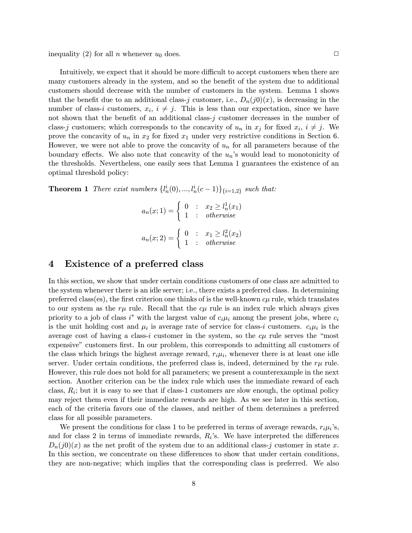inequality (2) for all *n* whenever  $u_0$  does.

Intuitively, we expect that it should be more difficult to accept customers when there are many customers already in the system, and so the benefit of the system due to additional customers should decrease with the number of customers in the system. Lemma 1 shows that the benefit due to an additional class-j customer, i.e.,  $D_n(j0)(x)$ , is decreasing in the number of class-i customers,  $x_i$ ,  $i \neq j$ . This is less than our expectation, since we have not shown that the benefit of an additional class-j customer decreases in the number of class-j customers; which corresponds to the concavity of  $u_n$  in  $x_j$  for fixed  $x_i$ ,  $i \neq j$ . We prove the concavity of  $u_n$  in  $x_2$  for fixed  $x_1$  under very restrictive conditions in Section 6. However, we were not able to prove the concavity of  $u_n$  for all parameters because of the boundary effects. We also note that concavity of the  $u_n$ 's would lead to monotonicity of the thresholds. Nevertheless, one easily sees that Lemma 1 guarantees the existence of an optimal threshold policy:

**Theorem 1** There exist numbers  $\{l_n^i(0),...,l_n^i(c-1)\}_{\{i=1,2\}}$  such that:

$$
a_n(x; 1) = \begin{cases} 0 & \text{: } x_2 \ge l_n^1(x_1) \\ 1 & \text{: } otherwise \end{cases}
$$

$$
a_n(x; 2) = \begin{cases} 0 & \text{: } x_1 \ge l_n^2(x_2) \\ 1 & \text{: } otherwise \end{cases}
$$

### 4 Existence of a preferred class

In this section, we show that under certain conditions customers of one class are admitted to the system whenever there is an idle server; i.e., there exists a preferred class. In determining preferred class(es), the first criterion one thinks of is the well-known  $c\mu$  rule, which translates to our system as the  $r\mu$  rule. Recall that the  $c\mu$  rule is an index rule which always gives priority to a job of class  $i^*$  with the largest value of  $c_i\mu_i$  among the present jobs, where  $c_i$ is the unit holding cost and  $\mu_i$  is average rate of service for class-i customers.  $c_i\mu_i$  is the average cost of having a class-i customer in the system, so the  $c\mu$  rule serves the "most" expensive" customers first. In our problem, this corresponds to admitting all customers of the class which brings the highest average reward,  $r_i\mu_i$ , whenever there is at least one idle server. Under certain conditions, the preferred class is, indeed, determined by the  $r\mu$  rule. However, this rule does not hold for all parameters; we present a counterexample in the next section. Another criterion can be the index rule which uses the immediate reward of each class,  $R_i$ ; but it is easy to see that if class-1 customers are slow enough, the optimal policy may reject them even if their immediate rewards are high. As we see later in this section, each of the criteria favors one of the classes, and neither of them determines a preferred class for all possible parameters.

We present the conditions for class 1 to be preferred in terms of average rewards,  $r_i\mu_i$ 's, and for class 2 in terms of immediate rewards,  $R_i$ 's. We have interpreted the differences  $D_n(j0)(x)$  as the net profit of the system due to an additional class-j customer in state x. In this section, we concentrate on these differences to show that under certain conditions, they are non-negative; which implies that the corresponding class is preferred. We also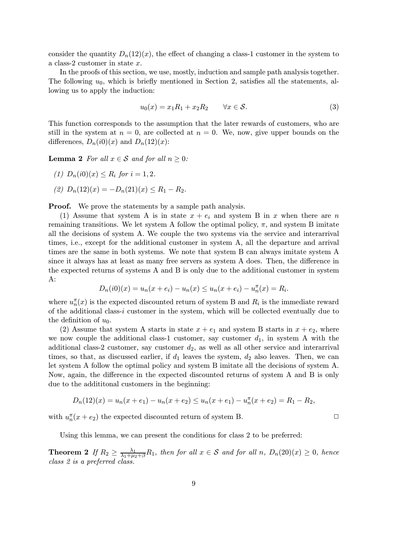consider the quantity  $D_n(12)(x)$ , the effect of changing a class-1 customer in the system to a class-2 customer in state x.

In the proofs of this section, we use, mostly, induction and sample path analysis together. The following  $u_0$ , which is briefly mentioned in Section 2, satisfies all the statements, allowing us to apply the induction:

$$
u_0(x) = x_1 R_1 + x_2 R_2 \qquad \forall x \in \mathcal{S}.
$$
 (3)

This function corresponds to the assumption that the later rewards of customers, who are still in the system at  $n = 0$ , are collected at  $n = 0$ . We, now, give upper bounds on the differences,  $D_n(i0)(x)$  and  $D_n(12)(x)$ :

**Lemma 2** For all  $x \in S$  and for all  $n \geq 0$ :

- (1)  $D_n(i0)(x) \leq R_i$  for  $i = 1, 2$ .
- (2)  $D_n(12)(x) = -D_n(21)(x) \le R_1 R_2$ .

**Proof.** We prove the statements by a sample path analysis.

(1) Assume that system A is in state  $x + e_i$  and system B in x when there are n remaining transitions. We let system A follow the optimal policy,  $\pi$ , and system B imitate all the decisions of system A. We couple the two systems via the service and interarrival times, i.e., except for the additional customer in system A, all the departure and arrival times are the same in both systems. We note that system B can always imitate system A since it always has at least as many free servers as system A does. Then, the difference in the expected returns of systems A and B is only due to the additional customer in system A:

$$
D_n(i0)(x) = u_n(x + e_i) - u_n(x) \le u_n(x + e_i) - u_n^{\pi}(x) = R_i.
$$

where  $u_n^{\pi}(x)$  is the expected discounted return of system B and  $R_i$  is the immediate reward of the additional class-i customer in the system, which will be collected eventually due to the definition of  $u_0$ .

(2) Assume that system A starts in state  $x + e_1$  and system B starts in  $x + e_2$ , where we now couple the additional class-1 customer, say customer  $d_1$ , in system A with the additional class-2 customer, say customer  $d_2$ , as well as all other service and interarrival times, so that, as discussed earlier, if  $d_1$  leaves the system,  $d_2$  also leaves. Then, we can let system A follow the optimal policy and system B imitate all the decisions of system A. Now, again, the difference in the expected discounted returns of system A and B is only due to the addititonal customers in the beginning:

$$
D_n(12)(x) = u_n(x + e_1) - u_n(x + e_2) \le u_n(x + e_1) - u_n(x + e_2) = R_1 - R_2,
$$

with  $u_n^{\pi}(x + e_2)$  the expected discounted return of system B.

Using this lemma, we can present the conditions for class 2 to be preferred:

**Theorem 2** If  $R_2 \ge \frac{\lambda_1}{\lambda_1 + \mu_2 + \beta} R_1$ , then for all  $x \in S$  and for all  $n$ ,  $D_n(20)(x) \ge 0$ , hence class 2 is a preferred class.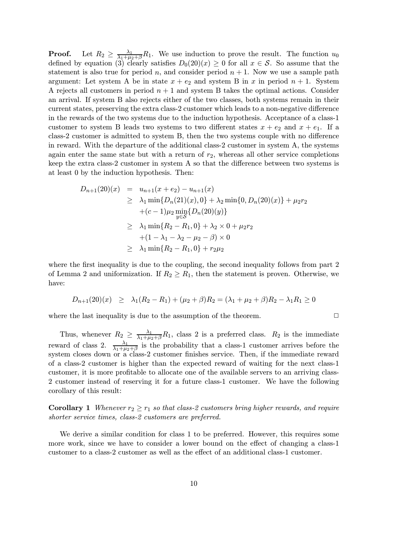**Proof.** Let  $R_2 \ge \frac{\lambda_1}{\lambda_1 + \mu_2 + \beta} R_1$ . We use induction to prove the result. The function  $u_0$ defined by equation (3) clearly satisfies  $D_0(20)(x) \geq 0$  for all  $x \in S$ . So assume that the statement is also true for period n, and consider period  $n + 1$ . Now we use a sample path argument: Let system A be in state  $x + e_2$  and system B in x in period  $n + 1$ . System A rejects all customers in period  $n + 1$  and system B takes the optimal actions. Consider an arrival. If system B also rejects either of the two classes, both systems remain in their current states, preserving the extra class-2 customer which leads to a non-negative difference in the rewards of the two systems due to the induction hypothesis. Acceptance of a class-1 customer to system B leads two systems to two different states  $x + e_2$  and  $x + e_1$ . If a class-2 customer is admitted to system B, then the two systems couple with no difference in reward. With the departure of the additional class-2 customer in system A, the systems again enter the same state but with a return of  $r_2$ , whereas all other service completions keep the extra class-2 customer in system A so that the difference between two systems is at least 0 by the induction hypothesis. Then:

$$
D_{n+1}(20)(x) = u_{n+1}(x+e_2) - u_{n+1}(x)
$$
  
\n
$$
\geq \lambda_1 \min\{D_n(21)(x), 0\} + \lambda_2 \min\{0, D_n(20)(x)\} + \mu_2 r_2
$$
  
\n
$$
+(c-1)\mu_2 \min_{y \in S} \{D_n(20)(y)\}
$$
  
\n
$$
\geq \lambda_1 \min\{R_2 - R_1, 0\} + \lambda_2 \times 0 + \mu_2 r_2
$$
  
\n
$$
+(1 - \lambda_1 - \lambda_2 - \mu_2 - \beta) \times 0
$$
  
\n
$$
\geq \lambda_1 \min\{R_2 - R_1, 0\} + r_2 \mu_2
$$

where the first inequality is due to the coupling, the second inequality follows from part 2 of Lemma 2 and uniformization. If  $R_2 \geq R_1$ , then the statement is proven. Otherwise, we have:

$$
D_{n+1}(20)(x) \geq \lambda_1 (R_2 - R_1) + (\mu_2 + \beta) R_2 = (\lambda_1 + \mu_2 + \beta) R_2 - \lambda_1 R_1 \geq 0
$$

where the last inequality is due to the assumption of the theorem.  $\Box$ 

Thus, whenever  $R_2 \geq \frac{\lambda_1}{\lambda_1 + \mu_2 + \beta} R_1$ , class 2 is a preferred class.  $R_2$  is the immediate reward of class 2.  $\frac{\lambda_1}{\lambda_1+\mu_2+\beta}$  is the probability that a class-1 customer arrives before the system closes down or a class-2 customer finishes service. Then, if the immediate reward of a class-2 customer is higher than the expected reward of waiting for the next class-1 customer, it is more profitable to allocate one of the available servers to an arriving class-2 customer instead of reserving it for a future class-1 customer. We have the following corollary of this result:

**Corollary 1** Whenever  $r_2 \geq r_1$  so that class-2 customers bring higher rewards, and require shorter service times, class-2 customers are preferred.

We derive a similar condition for class 1 to be preferred. However, this requires some more work, since we have to consider a lower bound on the effect of changing a class-1 customer to a class-2 customer as well as the effect of an additional class-1 customer.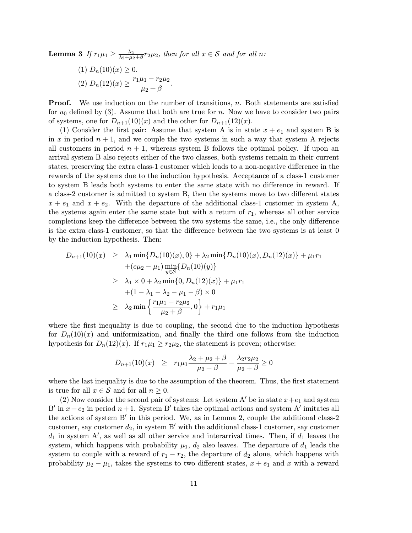**Lemma 3** If  $r_1\mu_1 \geq \frac{\lambda_2}{\lambda_2 + \mu_2 + \beta} r_2\mu_2$ , then for all  $x \in S$  and for all n:

(1) 
$$
D_n(10)(x) \ge 0
$$
.  
(2)  $D_n(12)(x) \ge \frac{r_1\mu_1 - r_2\mu_2}{\mu_2 + \beta}$ .

**Proof.** We use induction on the number of transitions,  $n$ . Both statements are satisfied for  $u_0$  defined by (3). Assume that both are true for n. Now we have to consider two pairs of systems, one for  $D_{n+1}(10)(x)$  and the other for  $D_{n+1}(12)(x)$ .

(1) Consider the first pair: Assume that system A is in state  $x + e_1$  and system B is in x in period  $n + 1$ , and we couple the two systems in such a way that system A rejects all customers in period  $n + 1$ , whereas system B follows the optimal policy. If upon an arrival system B also rejects either of the two classes, both systems remain in their current states, preserving the extra class-1 customer which leads to a non-negative difference in the rewards of the systems due to the induction hypothesis. Acceptance of a class-1 customer to system B leads both systems to enter the same state with no difference in reward. If a class-2 customer is admitted to system B, then the systems move to two different states  $x + e_1$  and  $x + e_2$ . With the departure of the additional class-1 customer in system A, the systems again enter the same state but with a return of  $r_1$ , whereas all other service completions keep the difference between the two systems the same, i.e., the only difference is the extra class-1 customer, so that the difference between the two systems is at least 0 by the induction hypothesis. Then:

$$
D_{n+1}(10)(x) \geq \lambda_1 \min\{D_n(10)(x), 0\} + \lambda_2 \min\{D_n(10)(x), D_n(12)(x)\} + \mu_1 r_1
$$
  
+ $(c\mu_2 - \mu_1) \min_{y \in S} \{D_n(10)(y)\}$   
 $\geq \lambda_1 \times 0 + \lambda_2 \min\{0, D_n(12)(x)\} + \mu_1 r_1$   
+ $(1 - \lambda_1 - \lambda_2 - \mu_1 - \beta) \times 0$   
 $\geq \lambda_2 \min\{\frac{r_1\mu_1 - r_2\mu_2}{\mu_2 + \beta}, 0\} + r_1\mu_1$ 

where the first inequality is due to coupling, the second due to the induction hypothesis for  $D_n(10)(x)$  and uniformization, and finally the third one follows from the induction hypothesis for  $D_n(12)(x)$ . If  $r_1\mu_1 \geq r_2\mu_2$ , the statement is proven; otherwise:

$$
D_{n+1}(10)(x) \ge r_1 \mu_1 \frac{\lambda_2 + \mu_2 + \beta}{\mu_2 + \beta} - \frac{\lambda_2 r_2 \mu_2}{\mu_2 + \beta} \ge 0
$$

where the last inequality is due to the assumption of the theorem. Thus, the first statement is true for all  $x \in \mathcal{S}$  and for all  $n \geq 0$ .

(2) Now consider the second pair of systems: Let system A' be in state  $x+e_1$  and system B' in  $x+e_2$  in period  $n+1$ . System B' takes the optimal actions and system A' imitates all the actions of system  $B'$  in this period. We, as in Lemma 2, couple the additional class-2 customer, say customer  $d_2$ , in system B' with the additional class-1 customer, say customer  $d_1$  in system A', as well as all other service and interarrival times. Then, if  $d_1$  leaves the system, which happens with probability  $\mu_1$ ,  $d_2$  also leaves. The departure of  $d_1$  leads the system to couple with a reward of  $r_1 - r_2$ , the departure of  $d_2$  alone, which happens with probability  $\mu_2 - \mu_1$ , takes the systems to two different states,  $x + e_1$  and x with a reward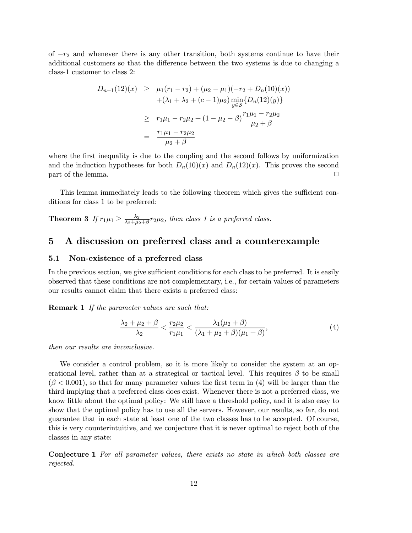of  $-r_2$  and whenever there is any other transition, both systems continue to have their additional customers so that the difference between the two systems is due to changing a class-1 customer to class 2:

$$
D_{n+1}(12)(x) \geq \mu_1(r_1 - r_2) + (\mu_2 - \mu_1)(-r_2 + D_n(10)(x))
$$
  
+ (\lambda\_1 + \lambda\_2 + (c - 1)\mu\_2) min\_{y \in S} {D\_n(12)(y)}  

$$
\geq r_1\mu_1 - r_2\mu_2 + (1 - \mu_2 - \beta) \frac{r_1\mu_1 - r_2\mu_2}{\mu_2 + \beta}
$$
  
= 
$$
\frac{r_1\mu_1 - r_2\mu_2}{\mu_2 + \beta}
$$

where the first inequality is due to the coupling and the second follows by uniformization and the induction hypotheses for both  $D_n(10)(x)$  and  $D_n(12)(x)$ . This proves the second  $\Box$  part of the lemma.  $\Box$ 

This lemma immediately leads to the following theorem which gives the sufficient conditions for class 1 to be preferred:

**Theorem 3** If  $r_1\mu_1 \geq \frac{\lambda_2}{\lambda_2 + \mu_2 + \beta} r_2\mu_2$ , then class 1 is a preferred class.

### 5 A discussion on preferred class and a counterexample

### 5.1 Non-existence of a preferred class

In the previous section, we give sufficient conditions for each class to be preferred. It is easily observed that these conditions are not complementary, i.e., for certain values of parameters our results cannot claim that there exists a preferred class:

Remark 1 If the parameter values are such that:

$$
\frac{\lambda_2 + \mu_2 + \beta}{\lambda_2} < \frac{r_2 \mu_2}{r_1 \mu_1} < \frac{\lambda_1(\mu_2 + \beta)}{(\lambda_1 + \mu_2 + \beta)(\mu_1 + \beta)},\tag{4}
$$

then our results are inconclusive.

We consider a control problem, so it is more likely to consider the system at an operational level, rather than at a strategical or tactical level. This requires  $\beta$  to be small  $(\beta < 0.001)$ , so that for many parameter values the first term in (4) will be larger than the third implying that a preferred class does exist. Whenever there is not a preferred class, we know little about the optimal policy: We still have a threshold policy, and it is also easy to show that the optimal policy has to use all the servers. However, our results, so far, do not guarantee that in each state at least one of the two classes has to be accepted. Of course, this is very counterintuitive, and we conjecture that it is never optimal to reject both of the classes in any state:

Conjecture 1 For all parameter values, there exists no state in which both classes are rejected.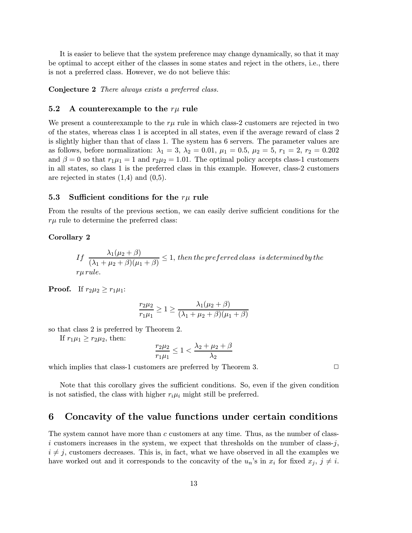It is easier to believe that the system preference may change dynamically, so that it may be optimal to accept either of the classes in some states and reject in the others, i.e., there is not a preferred class. However, we do not believe this:

Conjecture 2 There always exists a preferred class.

### 5.2 A counterexample to the  $r\mu$  rule

We present a counterexample to the  $r\mu$  rule in which class-2 customers are rejected in two of the states, whereas class 1 is accepted in all states, even if the average reward of class 2 is slightly higher than that of class 1. The system has 6 servers. The parameter values are as follows, before normalization:  $\lambda_1 = 3$ ,  $\lambda_2 = 0.01$ ,  $\mu_1 = 0.5$ ,  $\mu_2 = 5$ ,  $r_1 = 2$ ,  $r_2 = 0.202$ and  $\beta = 0$  so that  $r_1\mu_1 = 1$  and  $r_2\mu_2 = 1.01$ . The optimal policy accepts class-1 customers in all states, so class 1 is the preferred class in this example. However, class-2 customers are rejected in states  $(1,4)$  and  $(0,5)$ .

### 5.3 Sufficient conditions for the  $r\mu$  rule

From the results of the previous section, we can easily derive sufficient conditions for the  $r\mu$  rule to determine the preferred class:

#### Corollary 2

If 
$$
\frac{\lambda_1(\mu_2 + \beta)}{(\lambda_1 + \mu_2 + \beta)(\mu_1 + \beta)} \le 1
$$
, then the preferred class is determined by the   
*rr*  $\mu$  *rule.*

**Proof.** If  $r_2\mu_2 \geq r_1\mu_1$ :

$$
\frac{r_2\mu_2}{r_1\mu_1} \ge 1 \ge \frac{\lambda_1(\mu_2 + \beta)}{(\lambda_1 + \mu_2 + \beta)(\mu_1 + \beta)}
$$

so that class 2 is preferred by Theorem 2.

If  $r_1\mu_1 \geq r_2\mu_2$ , then:

$$
\frac{r_2\mu_2}{r_1\mu_1} \le 1 < \frac{\lambda_2 + \mu_2 + \beta}{\lambda_2}
$$

which implies that class-1 customers are preferred by Theorem 3.  $\Box$ 

Note that this corollary gives the sufficient conditions. So, even if the given condition is not satisfied, the class with higher  $r_i\mu_i$  might still be preferred.

### 6 Concavity of the value functions under certain conditions

The system cannot have more than c customers at any time. Thus, as the number of classi customers increases in the system, we expect that thresholds on the number of class-j,  $i \neq j$ , customers decreases. This is, in fact, what we have observed in all the examples we have worked out and it corresponds to the concavity of the  $u_n$ 's in  $x_i$  for fixed  $x_j$ ,  $j \neq i$ .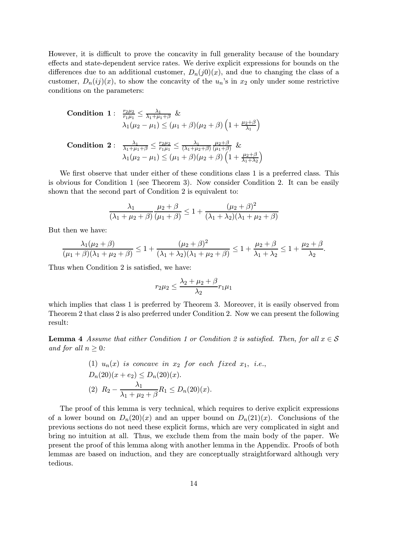However, it is difficult to prove the concavity in full generality because of the boundary effects and state-dependent service rates. We derive explicit expressions for bounds on the differences due to an additional customer,  $D_n(j0)(x)$ , and due to changing the class of a customer,  $D_n(ij)(x)$ , to show the concavity of the  $u_n$ 's in  $x_2$  only under some restrictive conditions on the parameters:

**Condition 1:**

\n
$$
\frac{r_{2}\mu_{2}}{r_{1}\mu_{1}} \leq \frac{\lambda_{1}}{\lambda_{1} + \mu_{1} + \beta} \& \lambda_{1}(\mu_{2} - \mu_{1}) \leq (\mu_{1} + \beta)(\mu_{2} + \beta) \left(1 + \frac{\mu_{2} + \beta}{\lambda_{1}}\right)
$$
\n**Condition 2:**

\n
$$
\frac{\lambda_{1}}{\lambda_{1} + \mu_{1} + \beta} \leq \frac{r_{2}\mu_{2}}{r_{1}\mu_{1}} \leq \frac{\lambda_{1}}{(\lambda_{1} + \mu_{2} + \beta)} \frac{\mu_{2} + \beta}{(\mu_{1} + \beta)} \& \lambda_{1}(\mu_{2} - \mu_{1}) \leq (\mu_{1} + \beta)(\mu_{2} + \beta) \left(1 + \frac{\mu_{2} + \beta}{\lambda_{1} + \lambda_{2}}\right)
$$

We first observe that under either of these conditions class 1 is a preferred class. This is obvious for Condition 1 (see Theorem 3). Now consider Condition 2. It can be easily shown that the second part of Condition 2 is equivalent to:

$$
\frac{\lambda_1}{(\lambda_1 + \mu_2 + \beta)} \frac{\mu_2 + \beta}{(\mu_1 + \beta)} \le 1 + \frac{(\mu_2 + \beta)^2}{(\lambda_1 + \lambda_2)(\lambda_1 + \mu_2 + \beta)}
$$

But then we have:

$$
\frac{\lambda_1(\mu_2+\beta)}{(\mu_1+\beta)(\lambda_1+\mu_2+\beta)} \le 1 + \frac{(\mu_2+\beta)^2}{(\lambda_1+\lambda_2)(\lambda_1+\mu_2+\beta)} \le 1 + \frac{\mu_2+\beta}{\lambda_1+\lambda_2} \le 1 + \frac{\mu_2+\beta}{\lambda_2}.
$$

Thus when Condition 2 is satisfied, we have:

$$
r_2\mu_2 \le \frac{\lambda_2 + \mu_2 + \beta}{\lambda_2} r_1\mu_1
$$

which implies that class 1 is preferred by Theorem 3. Moreover, it is easily observed from Theorem 2 that class 2 is also preferred under Condition 2. Now we can present the following result:

**Lemma 4** Assume that either Condition 1 or Condition 2 is satisfied. Then, for all  $x \in S$ and for all  $n \geq 0$ :

(1) 
$$
u_n(x)
$$
 is concave in  $x_2$  for each fixed  $x_1$ , i.e.,  
\n $D_n(20)(x+e_2) \le D_n(20)(x)$ .  
\n(2)  $R_2 - \frac{\lambda_1}{\lambda_1 + \mu_2 + \beta} R_1 \le D_n(20)(x)$ .

The proof of this lemma is very technical, which requires to derive explicit expressions of a lower bound on  $D_n(20)(x)$  and an upper bound on  $D_n(21)(x)$ . Conclusions of the previous sections do not need these explicit forms, which are very complicated in sight and bring no intuition at all. Thus, we exclude them from the main body of the paper. We present the proof of this lemma along with another lemma in the Appendix. Proofs of both lemmas are based on induction, and they are conceptually straightforward although very tedious.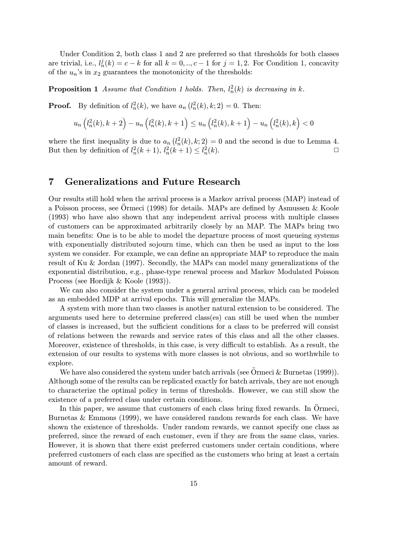Under Condition 2, both class 1 and 2 are preferred so that thresholds for both classes are trivial, i.e.,  $l_n^j(k) = c - k$  for all  $k = 0, ..., c - 1$  for  $j = 1, 2$ . For Condition 1, concavity of the  $u_n$ 's in  $x_2$  guarantees the monotonicity of the thresholds:

**Proposition 1** Assume that Condition 1 holds. Then,  $l_n^2(k)$  is decreasing in k.

**Proof.** By definition of  $l_n^2(k)$ , we have  $a_n(l_n^2(k), k; 2) = 0$ . Then:

$$
u_n\left(l_n^{2}(k), k+2\right) - u_n\left(l_n^{2}(k), k+1\right) \le u_n\left(l_n^{2}(k), k+1\right) - u_n\left(l_n^{2}(k), k\right) < 0
$$

where the first inequality is due to  $a_n(l_n^2(k), k; 2) = 0$  and the second is due to Lemma 4. But then by definition of  $l_n^2(k+1)$ ,  $l_n^2(k+1) \leq l_n^2(k)$ .

### 7 Generalizations and Future Research

Our results still hold when the arrival process is a Markov arrival process (MAP) instead of a Poisson process, see Ormeci (1998) for details. MAPs are defined by Asmussen & Koole (1993) who have also shown that any independent arrival process with multiple classes of customers can be approximated arbitrarily closely by an MAP. The MAPs bring two main benefits: One is to be able to model the departure process of most queueing systems with exponentially distributed sojourn time, which can then be used as input to the loss system we consider. For example, we can define an appropriate MAP to reproduce the main result of Ku & Jordan (1997). Secondly, the MAPs can model many generalizations of the exponential distribution, e.g., phase-type renewal process and Markov Modulated Poisson Process (see Hordijk & Koole (1993)).

We can also consider the system under a general arrival process, which can be modeled as an embedded MDP at arrival epochs. This will generalize the MAPs.

A system with more than two classes is another natural extension to be considered. The arguments used here to determine preferred class(es) can still be used when the number of classes is increased, but the sufficient conditions for a class to be preferred will consist of relations between the rewards and service rates of this class and all the other classes. Moreover, existence of thresholds, in this case, is very difficult to establish. As a result, the extension of our results to systems with more classes is not obvious, and so worthwhile to explore.

We have also considered the system under batch arrivals (see  $\ddot{\text{O}}$ rmeci & Burnetas (1999)). Although some of the results can be replicated exactly for batch arrivals, they are not enough to characterize the optimal policy in terms of thresholds. However, we can still show the existence of a preferred class under certain conditions.

In this paper, we assume that customers of each class bring fixed rewards. In Ormeci, Burnetas & Emmons (1999), we have considered random rewards for each class. We have shown the existence of thresholds. Under random rewards, we cannot specify one class as preferred, since the reward of each customer, even if they are from the same class, varies. However, it is shown that there exist preferred customers under certain conditions, where preferred customers of each class are specified as the customers who bring at least a certain amount of reward.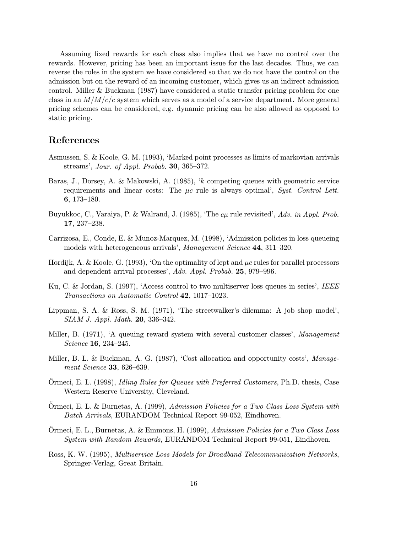Assuming fixed rewards for each class also implies that we have no control over the rewards. However, pricing has been an important issue for the last decades. Thus, we can reverse the roles in the system we have considered so that we do not have the control on the admission but on the reward of an incoming customer, which gives us an indirect admission control. Miller & Buckman (1987) have considered a static transfer pricing problem for one class in an  $M/M/c/c$  system which serves as a model of a service department. More general pricing schemes can be considered, e.g. dynamic pricing can be also allowed as opposed to static pricing.

### References

- Asmussen, S. & Koole, G. M. (1993), ëMarked point processes as limits of markovian arrivals streams', Jour. of Appl. Probab.  $30, 365-372$ .
- Baras, J., Dorsey, A. & Makowski, A. (1985), ëk competing queues with geometric service requirements and linear costs: The  $\mu c$  rule is always optimal', Syst. Control Lett. 6,  $173-180$ .
- Buyukkoc, C., Varaiya, P. & Walrand, J. (1985), 'The  $c\mu$  rule revisited', Adv. in Appl. Prob.  $17, 237-238.$
- Carrizosa, E., Conde, E. & Munoz-Marquez, M. (1998), ëAdmission policies in loss queueing models with heterogeneous arrivals', Management Science 44, 311-320.
- Hordijk, A. & Koole, G. (1993), 'On the optimality of lept and  $\mu c$  rules for parallel processors and dependent arrival processes',  $Adv.$  Appl. Probab.  $25,$  979–996.
- Ku, C. & Jordan, S. (1997), 'Access control to two multiserver loss queues in series', IEEE Transactions on Automatic Control 42, 1017-1023.
- Lippman, S. A. & Ross, S. M.  $(1971)$ , 'The streetwalker's dilemma: A job shop model',  $SIAM$  J. Appl. Math. 20, 336–342.
- Miller, B. (1971), 'A queuing reward system with several customer classes', Management Science 16, 234-245.
- Miller, B. L. & Buckman, A. G. (1987), 'Cost allocation and opportunity costs', Management Science 33,  $626-639$ .
- Ormeci, E. L. (1998), Idling Rules for Queues with Preferred Customers, Ph.D. thesis, Case Western Reserve University, Cleveland.
- Ormeci, E. L. & Burnetas, A. (1999), Admission Policies for a Two Class Loss System with Batch Arrivals, EURANDOM Technical Report 99-052, Eindhoven.
- Ormeci, E. L., Burnetas, A. & Emmons, H. (1999), Admission Policies for a Two Class Loss System with Random Rewards, EURANDOM Technical Report 99-051, Eindhoven.
- Ross, K. W. (1995), Multiservice Loss Models for Broadband Telecommunication Networks, Springer-Verlag, Great Britain.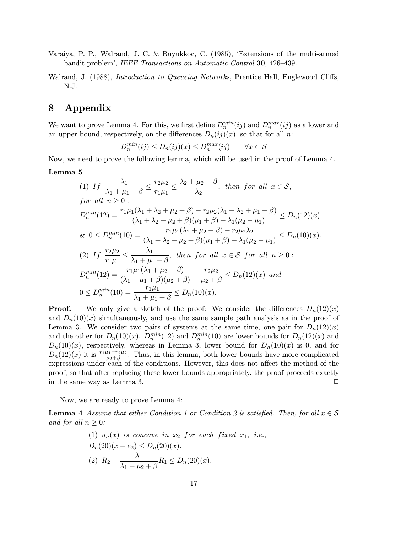Varaiya, P. P., Walrand, J. C. & Buyukkoc, C. (1985), ëExtensions of the multi-armed bandit problem', IEEE Transactions on Automatic Control 30, 426-439.

Walrand, J. (1988), *Introduction to Queueing Networks*, Prentice Hall, Englewood Cliffs, N.J.

# 8 Appendix

We want to prove Lemma 4. For this, we first define  $D_n^{min}(ij)$  and  $D_n^{max}(ij)$  as a lower and an upper bound, respectively, on the differences  $D_n(ij)(x)$ , so that for all n:

$$
D_n^{min}(ij) \le D_n(ij)(x) \le D_n^{max}(ij) \qquad \forall x \in \mathcal{S}
$$

Now, we need to prove the following lemma, which will be used in the proof of Lemma 4.

#### Lemma 5

(1) If 
$$
\frac{\lambda_1}{\lambda_1 + \mu_1 + \beta} \le \frac{r_2 \mu_2}{r_1 \mu_1} \le \frac{\lambda_2 + \mu_2 + \beta}{\lambda_2}
$$
, then for all  $x \in S$ ,  
for all  $n \ge 0$ :  

$$
D_n^{min}(12) = \frac{r_1 \mu_1(\lambda_1 + \lambda_2 + \mu_2 + \beta) - r_2 \mu_2(\lambda_1 + \lambda_2 + \mu_1 + \beta)}{(\lambda_1 + \lambda_2 + \mu_2 + \beta)(\mu_1 + \beta) + \lambda_1(\mu_2 - \mu_1)} \le D_n(12)(x)
$$
  
&  $0 \le D_n^{min}(10) = \frac{r_1 \mu_1(\lambda_2 + \mu_2 + \beta) - r_2 \mu_2 \lambda_2}{(\lambda_1 + \lambda_2 + \mu_2 + \beta)(\mu_1 + \beta) + \lambda_1(\mu_2 - \mu_1)} \le D_n(10)(x)$ .  
(2) If  $\frac{r_2 \mu_2}{r_1 \mu_1} \le \frac{\lambda_1}{\lambda_1 + \mu_1 + \beta}$ , then for all  $x \in S$  for all  $n \ge 0$ :  

$$
D_n^{min}(12) = \frac{r_1 \mu_1(\lambda_1 + \mu_2 + \beta)}{(\lambda_1 + \mu_1 + \beta)(\mu_2 + \beta)} - \frac{r_2 \mu_2}{\mu_2 + \beta} \le D_n(12)(x)
$$
 and  

$$
0 \le D_n^{min}(10) = \frac{r_1 \mu_1}{\lambda_1 + \mu_1 + \beta} \le D_n(10)(x).
$$

**Proof.** We only give a sketch of the proof: We consider the differences  $D_n(12)(x)$ and  $D_n(10)(x)$  simultaneously, and use the same sample path analysis as in the proof of Lemma 3. We consider two pairs of systems at the same time, one pair for  $D_n(12)(x)$ and the other for  $D_n(10)(x)$ .  $D_n^{min}(12)$  and  $D_n^{min}(10)$  are lower bounds for  $D_n(12)(x)$  and  $D_n(10)(x)$ , respectively, whereas in Lemma 3, lower bound for  $D_n(10)(x)$  is 0, and for  $D_n(12)(x)$  it is  $\frac{r_1\mu_1-r_2\mu_2}{\mu_2+\beta}$ . Thus, in this lemma, both lower bounds have more complicated expressions under each of the conditions. However, this does not affect the method of the proof, so that after replacing these lower bounds appropriately, the proof proceeds exactly in the same way as Lemma 3.  $\Box$ 

Now, we are ready to prove Lemma 4:

**Lemma 4** Assume that either Condition 1 or Condition 2 is satisfied. Then, for all  $x \in S$ and for all  $n \geq 0$ :

(1) 
$$
u_n(x)
$$
 is concave in  $x_2$  for each fixed  $x_1$ , i.e.,  
\n $D_n(20)(x+e_2) \le D_n(20)(x)$ .  
\n(2)  $R_2 - \frac{\lambda_1}{\lambda_1 + \mu_2 + \beta} R_1 \le D_n(20)(x)$ .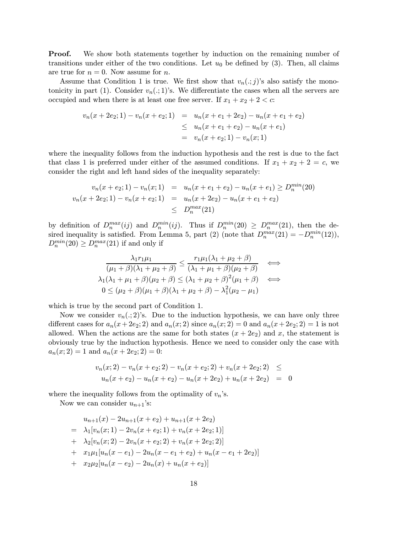**Proof.** We show both statements together by induction on the remaining number of transitions under either of the two conditions. Let  $u_0$  be defined by (3). Then, all claims are true for  $n = 0$ . Now assume for n.

Assume that Condition 1 is true. We first show that  $v_n(.; j)$ 's also satisfy the monotonicity in part (1). Consider  $v_n(.; 1)$ 's. We differentiate the cases when all the servers are occupied and when there is at least one free server. If  $x_1 + x_2 + 2 < c$ :

$$
v_n(x + 2e_2; 1) - v_n(x + e_2; 1) = u_n(x + e_1 + 2e_2) - u_n(x + e_1 + e_2)
$$
  
\n
$$
\leq u_n(x + e_1 + e_2) - u_n(x + e_1)
$$
  
\n
$$
= v_n(x + e_2; 1) - v_n(x; 1)
$$

where the inequality follows from the induction hypothesis and the rest is due to the fact that class 1 is preferred under either of the assumed conditions. If  $x_1 + x_2 + 2 = c$ , we consider the right and left hand sides of the inequality separately:

$$
v_n(x + e_2; 1) - v_n(x; 1) = u_n(x + e_1 + e_2) - u_n(x + e_1) \ge D_n^{min}(20)
$$
  

$$
v_n(x + 2e_2; 1) - v_n(x + e_2; 1) = u_n(x + 2e_2) - u_n(x + e_1 + e_2)
$$
  

$$
\le D_n^{max}(21)
$$

by definition of  $D_n^{max}(ij)$  and  $D_n^{min}(ij)$ . Thus if  $D_n^{min}(20) \ge D_n^{max}(21)$ , then the desired inequality is satisfied. From Lemma 5, part (2) (note that  $D_n^{max}(21) = -D_n^{min}(12)$ ),  $D_n^{min}(20) \ge D_n^{max}(21)$  if and only if

$$
\frac{\lambda_1 r_1 \mu_1}{(\mu_1 + \beta)(\lambda_1 + \mu_2 + \beta)} \le \frac{r_1 \mu_1 (\lambda_1 + \mu_2 + \beta)}{(\lambda_1 + \mu_1 + \beta)(\mu_2 + \beta)} \iff
$$
  

$$
\lambda_1 (\lambda_1 + \mu_1 + \beta)(\mu_2 + \beta) \le (\lambda_1 + \mu_2 + \beta)^2 (\mu_1 + \beta)
$$
  

$$
0 \le (\mu_2 + \beta)(\mu_1 + \beta)(\lambda_1 + \mu_2 + \beta) - \lambda_1^2 (\mu_2 - \mu_1)
$$

which is true by the second part of Condition 1.

Now we consider  $v_n(.; 2)$ 's. Due to the induction hypothesis, we can have only three different cases for  $a_n(x+2e_2; 2)$  and  $a_n(x; 2)$  since  $a_n(x; 2) = 0$  and  $a_n(x+2e_2; 2) = 1$  is not allowed. When the actions are the same for both states  $(x + 2e_2)$  and x, the statement is obviously true by the induction hypothesis. Hence we need to consider only the case with  $a_n(x; 2) = 1$  and  $a_n(x + 2e_2; 2) = 0$ :

$$
v_n(x; 2) - v_n(x + e_2; 2) - v_n(x + e_2; 2) + v_n(x + 2e_2; 2) \le
$$
  

$$
u_n(x + e_2) - u_n(x + e_2) - u_n(x + 2e_2) + u_n(x + 2e_2) = 0
$$

where the inequality follows from the optimality of  $v_n$ 's.

Now we can consider  $u_{n+1}$ 's:

$$
u_{n+1}(x) - 2u_{n+1}(x + e_2) + u_{n+1}(x + 2e_2)
$$
  
=  $\lambda_1[v_n(x; 1) - 2v_n(x + e_2; 1) + v_n(x + 2e_2; 1)]$   
+  $\lambda_2[v_n(x; 2) - 2v_n(x + e_2; 2) + v_n(x + 2e_2; 2)]$   
+  $x_1\mu_1[u_n(x - e_1) - 2u_n(x - e_1 + e_2) + u_n(x - e_1 + 2e_2)]$   
+  $x_2\mu_2[u_n(x - e_2) - 2u_n(x) + u_n(x + e_2)]$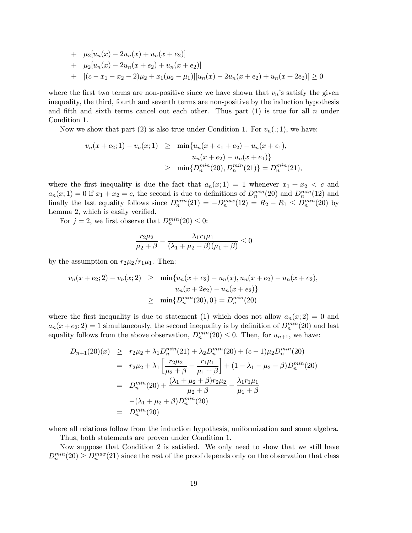+ 
$$
\mu_2[u_n(x) - 2u_n(x) + u_n(x + e_2)]
$$
  
+  $\mu_2[u_n(x) - 2u_n(x + e_2) + u_n(x + e_2)]$   
+  $[(c - x_1 - x_2 - 2)\mu_2 + x_1(\mu_2 - \mu_1)][u_n(x) - 2u_n(x + e_2) + u_n(x + 2e_2)] \ge 0$ 

where the first two terms are non-positive since we have shown that  $v_n$ 's satisfy the given inequality, the third, fourth and seventh terms are non-positive by the induction hypothesis and fifth and sixth terms cancel out each other. Thus part  $(1)$  is true for all n under Condition 1.

Now we show that part (2) is also true under Condition 1. For  $v_n(.; 1)$ , we have:

$$
v_n(x+e_2;1) - v_n(x;1) \geq \min\{u_n(x+e_1+e_2) - u_n(x+e_1),
$$
  
\n
$$
u_n(x+e_2) - u_n(x+e_1)\}
$$
  
\n
$$
\geq \min\{D_n^{\min}(20), D_n^{\min}(21)\} = D_n^{\min}(21),
$$

where the first inequality is due the fact that  $a_n(x; 1) = 1$  whenever  $x_1 + x_2 < c$  and  $a_n(x; 1) = 0$  if  $x_1 + x_2 = c$ , the second is due to definitions of  $D_n^{min}(20)$  and  $D_n^{min}(12)$  and finally the last equality follows since  $D_n^{min}(21) = -D_n^{max}(12) = R_2 - R_1 \leq D_n^{min}(20)$  by Lemma 2, which is easily verified.

For  $j = 2$ , we first observe that  $D_n^{min}(20) \leq 0$ :

$$
\frac{r_2\mu_2}{\mu_2+\beta} - \frac{\lambda_1r_1\mu_1}{(\lambda_1+\mu_2+\beta)(\mu_1+\beta)} \le 0
$$

by the assumption on  $r_2\mu_2/r_1\mu_1$ . Then:

$$
v_n(x+e_2; 2) - v_n(x; 2) \geq \min\{u_n(x+e_2) - u_n(x), u_n(x+e_2) - u_n(x+e_2),
$$
  

$$
u_n(x+2e_2) - u_n(x+e_2)\}
$$
  

$$
\geq \min\{D_n^{min}(20), 0\} = D_n^{min}(20)
$$

where the first inequality is due to statement (1) which does not allow  $a_n(x; 2) = 0$  and  $a_n(x+e_2; 2) = 1$  simultaneously, the second inequality is by definition of  $D_n^{min}(20)$  and last equality follows from the above observation,  $D_n^{min}(20) \leq 0$ . Then, for  $u_{n+1}$ , we have:

$$
D_{n+1}(20)(x) \ge r_2\mu_2 + \lambda_1 D_n^{min}(21) + \lambda_2 D_n^{min}(20) + (c - 1)\mu_2 D_n^{min}(20)
$$
  
=  $r_2\mu_2 + \lambda_1 \left[ \frac{r_2\mu_2}{\mu_2 + \beta} - \frac{r_1\mu_1}{\mu_1 + \beta} \right] + (1 - \lambda_1 - \mu_2 - \beta)D_n^{min}(20)$   
=  $D_n^{min}(20) + \frac{(\lambda_1 + \mu_2 + \beta)r_2\mu_2}{\mu_2 + \beta} - \frac{\lambda_1r_1\mu_1}{\mu_1 + \beta}$   
 $-(\lambda_1 + \mu_2 + \beta)D_n^{min}(20)$   
=  $D_n^{min}(20)$ 

where all relations follow from the induction hypothesis, uniformization and some algebra.

Thus, both statements are proven under Condition 1.

Now suppose that Condition 2 is satisfied. We only need to show that we still have  $D_n^{min}(20) \ge D_n^{max}(21)$  since the rest of the proof depends only on the observation that class